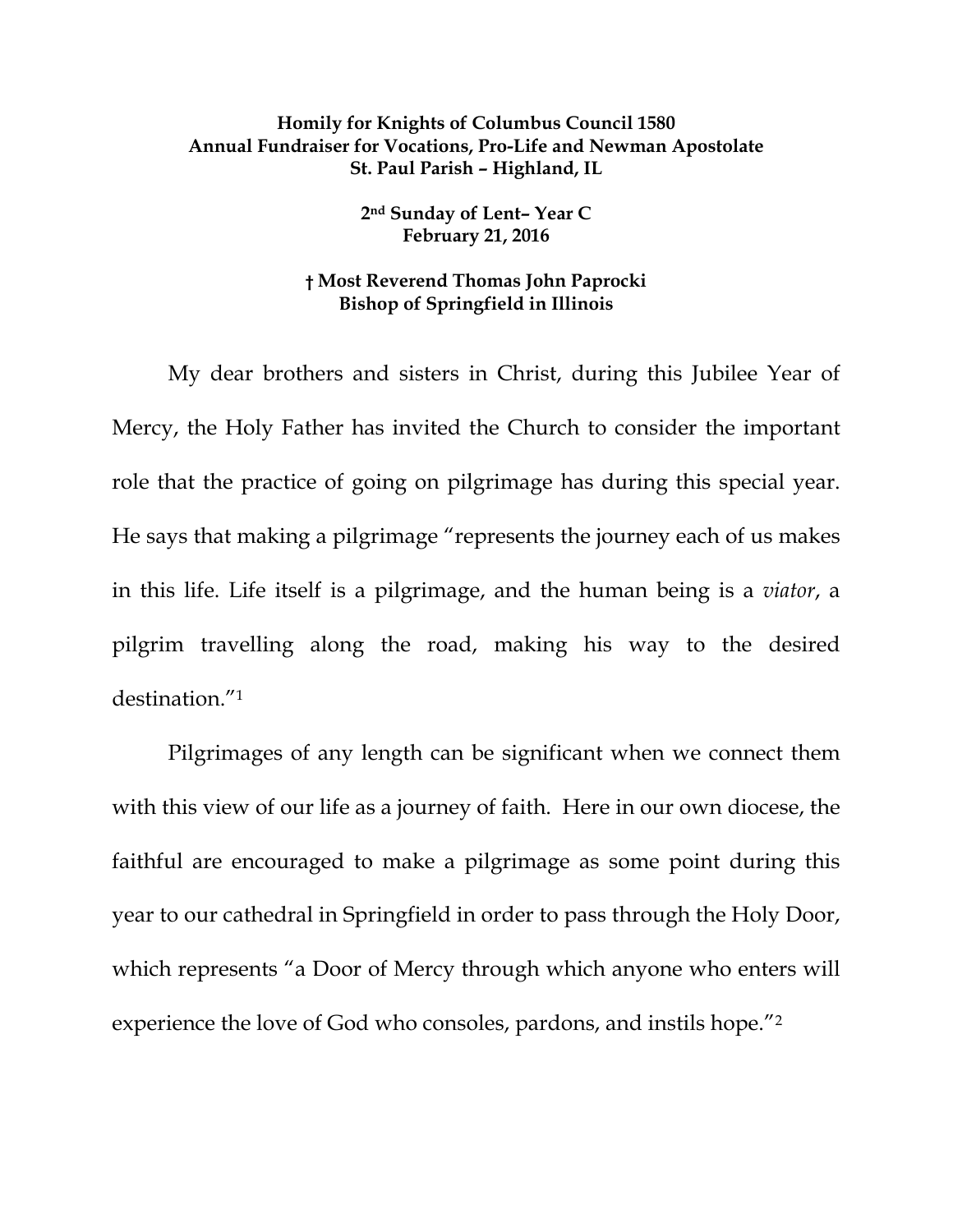## **Homily for Knights of Columbus Council 1580 Annual Fundraiser for Vocations, Pro-Life and Newman Apostolate St. Paul Parish – Highland, IL**

**2nd Sunday of Lent– Year C February 21, 2016** 

## **† Most Reverend Thomas John Paprocki Bishop of Springfield in Illinois**

 My dear brothers and sisters in Christ, during this Jubilee Year of Mercy, the Holy Father has invited the Church to consider the important role that the practice of going on pilgrimage has during this special year. He says that making a pilgrimage "represents the journey each of us makes in this life. Life itself is a pilgrimage, and the human being is a *viator*, a pilgrim travelling along the road, making his way to the desired destination."1

Pilgrimages of any length can be significant when we connect them with this view of our life as a journey of faith. Here in our own diocese, the faithful are encouraged to make a pilgrimage as some point during this year to our cathedral in Springfield in order to pass through the Holy Door, which represents "a Door of Mercy through which anyone who enters will experience the love of God who consoles, pardons, and instils hope."2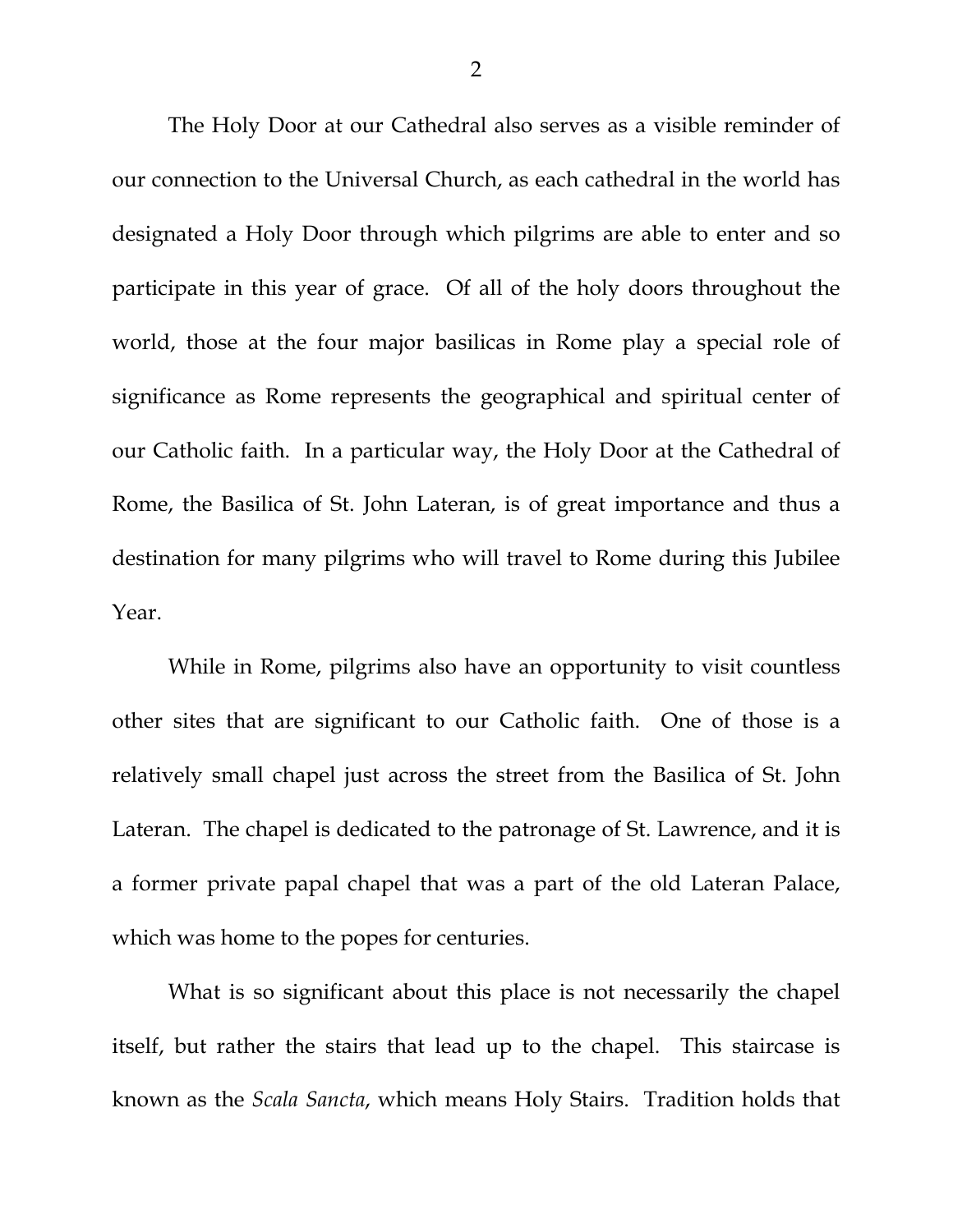The Holy Door at our Cathedral also serves as a visible reminder of our connection to the Universal Church, as each cathedral in the world has designated a Holy Door through which pilgrims are able to enter and so participate in this year of grace. Of all of the holy doors throughout the world, those at the four major basilicas in Rome play a special role of significance as Rome represents the geographical and spiritual center of our Catholic faith. In a particular way, the Holy Door at the Cathedral of Rome, the Basilica of St. John Lateran, is of great importance and thus a destination for many pilgrims who will travel to Rome during this Jubilee Year.

While in Rome, pilgrims also have an opportunity to visit countless other sites that are significant to our Catholic faith. One of those is a relatively small chapel just across the street from the Basilica of St. John Lateran. The chapel is dedicated to the patronage of St. Lawrence, and it is a former private papal chapel that was a part of the old Lateran Palace, which was home to the popes for centuries.

What is so significant about this place is not necessarily the chapel itself, but rather the stairs that lead up to the chapel. This staircase is known as the *Scala Sancta*, which means Holy Stairs. Tradition holds that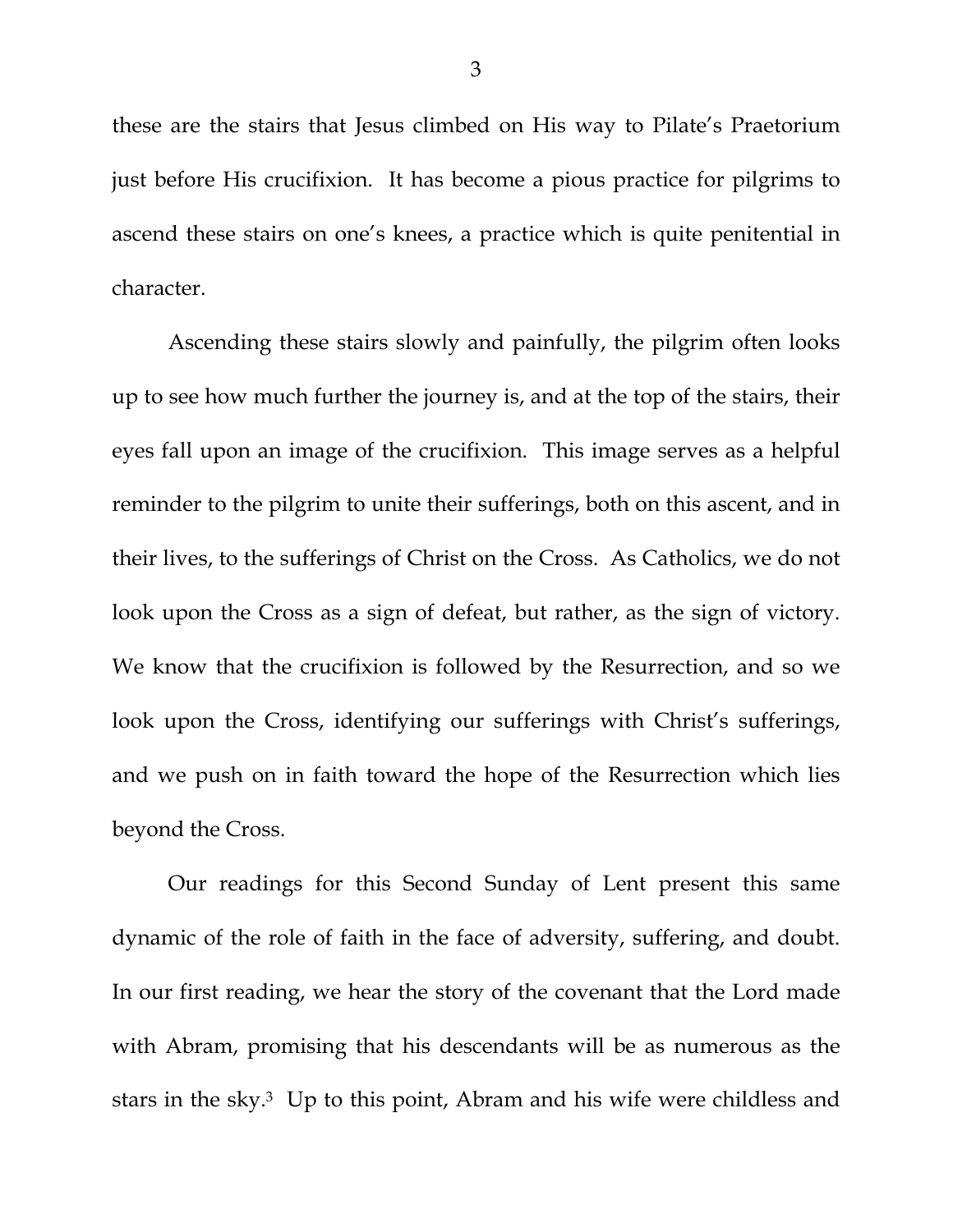these are the stairs that Jesus climbed on His way to Pilate's Praetorium just before His crucifixion. It has become a pious practice for pilgrims to ascend these stairs on one's knees, a practice which is quite penitential in character.

Ascending these stairs slowly and painfully, the pilgrim often looks up to see how much further the journey is, and at the top of the stairs, their eyes fall upon an image of the crucifixion. This image serves as a helpful reminder to the pilgrim to unite their sufferings, both on this ascent, and in their lives, to the sufferings of Christ on the Cross. As Catholics, we do not look upon the Cross as a sign of defeat, but rather, as the sign of victory. We know that the crucifixion is followed by the Resurrection, and so we look upon the Cross, identifying our sufferings with Christ's sufferings, and we push on in faith toward the hope of the Resurrection which lies beyond the Cross.

Our readings for this Second Sunday of Lent present this same dynamic of the role of faith in the face of adversity, suffering, and doubt. In our first reading, we hear the story of the covenant that the Lord made with Abram, promising that his descendants will be as numerous as the stars in the sky.3 Up to this point, Abram and his wife were childless and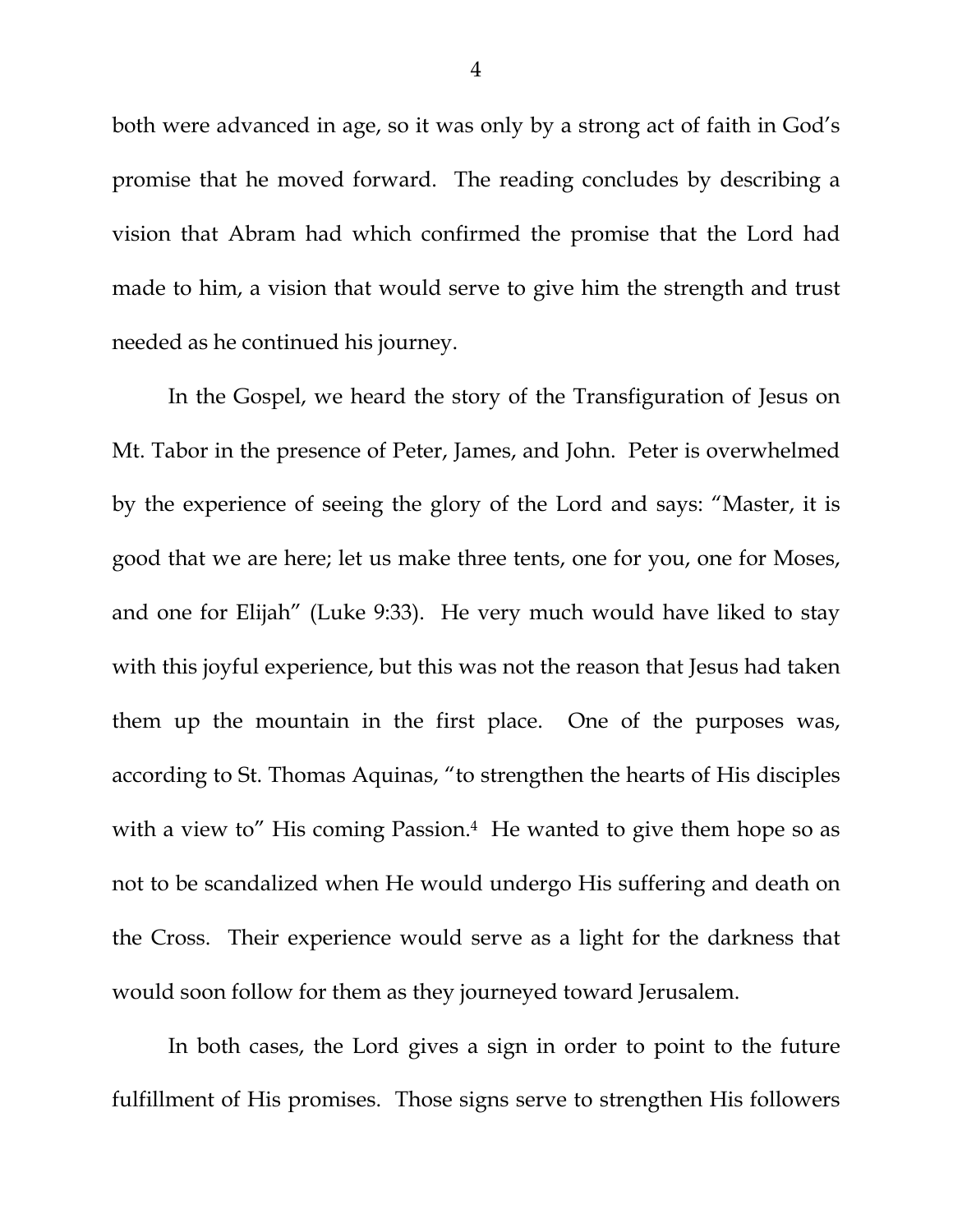both were advanced in age, so it was only by a strong act of faith in God's promise that he moved forward. The reading concludes by describing a vision that Abram had which confirmed the promise that the Lord had made to him, a vision that would serve to give him the strength and trust needed as he continued his journey.

In the Gospel, we heard the story of the Transfiguration of Jesus on Mt. Tabor in the presence of Peter, James, and John. Peter is overwhelmed by the experience of seeing the glory of the Lord and says: "Master, it is good that we are here; let us make three tents, one for you, one for Moses, and one for Elijah" (Luke 9:33). He very much would have liked to stay with this joyful experience, but this was not the reason that Jesus had taken them up the mountain in the first place. One of the purposes was, according to St. Thomas Aquinas, "to strengthen the hearts of His disciples with a view to" His coming Passion.<sup>4</sup> He wanted to give them hope so as not to be scandalized when He would undergo His suffering and death on the Cross. Their experience would serve as a light for the darkness that would soon follow for them as they journeyed toward Jerusalem.

In both cases, the Lord gives a sign in order to point to the future fulfillment of His promises. Those signs serve to strengthen His followers

4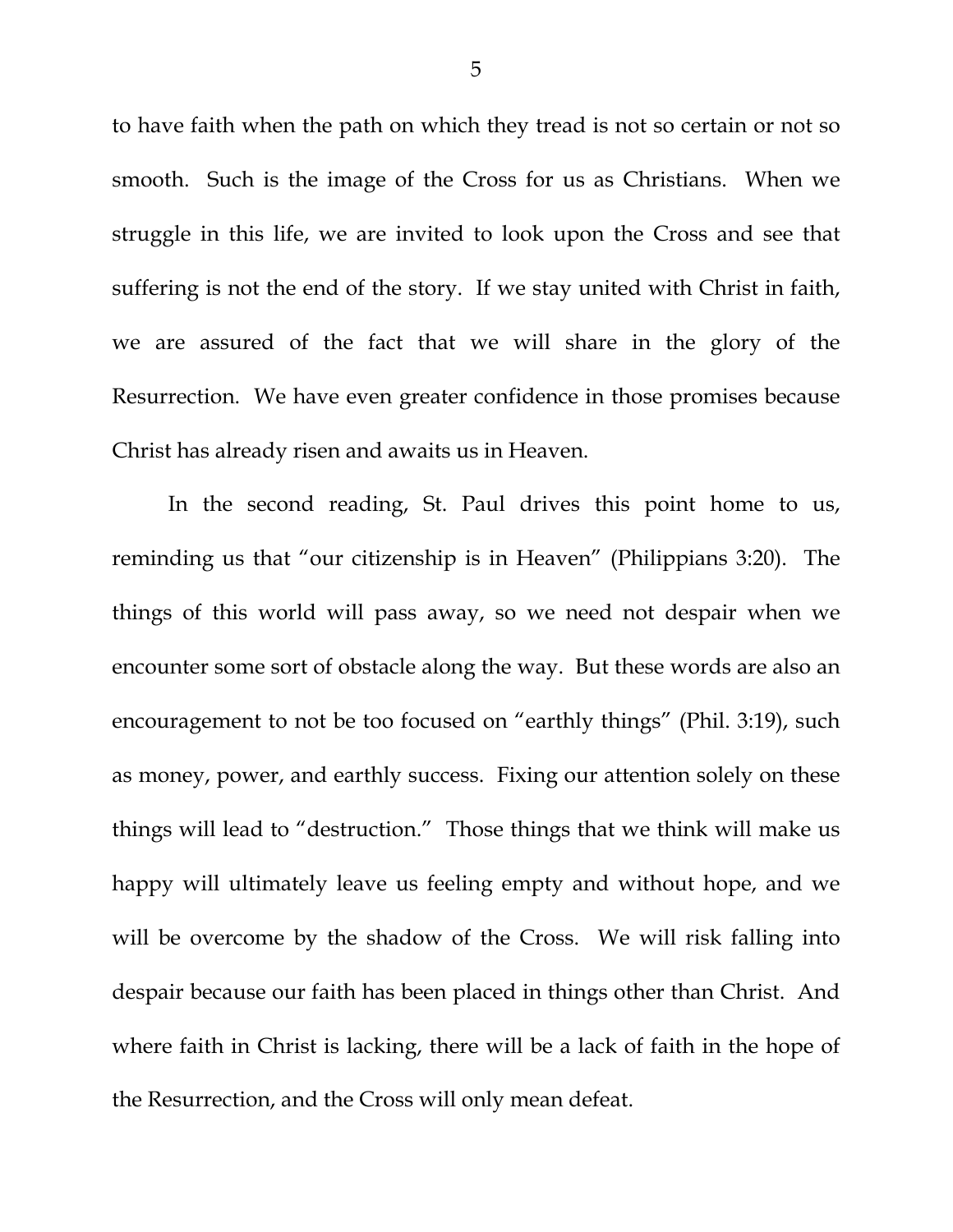to have faith when the path on which they tread is not so certain or not so smooth. Such is the image of the Cross for us as Christians. When we struggle in this life, we are invited to look upon the Cross and see that suffering is not the end of the story. If we stay united with Christ in faith, we are assured of the fact that we will share in the glory of the Resurrection. We have even greater confidence in those promises because Christ has already risen and awaits us in Heaven.

In the second reading, St. Paul drives this point home to us, reminding us that "our citizenship is in Heaven" (Philippians 3:20). The things of this world will pass away, so we need not despair when we encounter some sort of obstacle along the way. But these words are also an encouragement to not be too focused on "earthly things" (Phil. 3:19), such as money, power, and earthly success. Fixing our attention solely on these things will lead to "destruction." Those things that we think will make us happy will ultimately leave us feeling empty and without hope, and we will be overcome by the shadow of the Cross. We will risk falling into despair because our faith has been placed in things other than Christ. And where faith in Christ is lacking, there will be a lack of faith in the hope of the Resurrection, and the Cross will only mean defeat.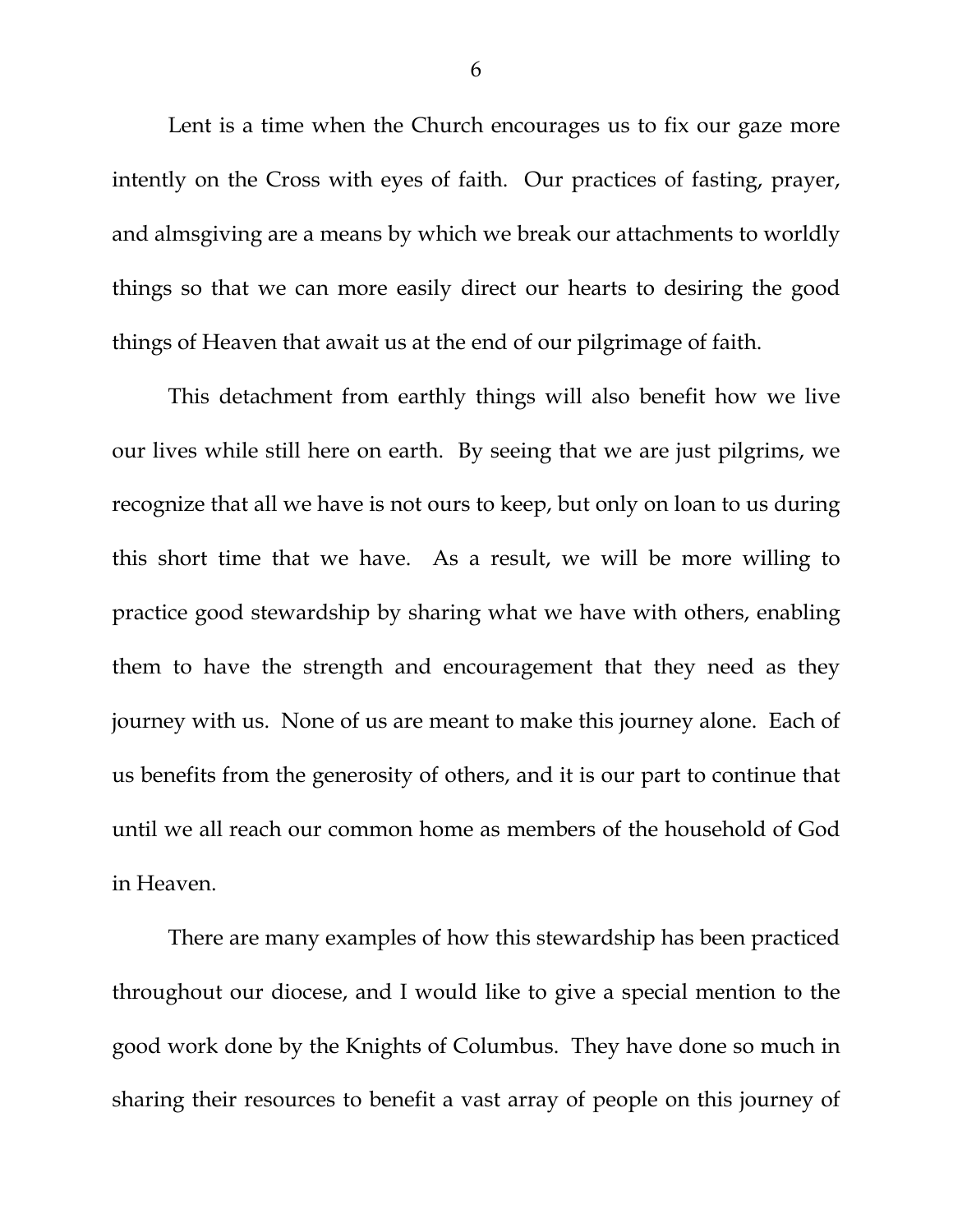Lent is a time when the Church encourages us to fix our gaze more intently on the Cross with eyes of faith. Our practices of fasting, prayer, and almsgiving are a means by which we break our attachments to worldly things so that we can more easily direct our hearts to desiring the good things of Heaven that await us at the end of our pilgrimage of faith.

This detachment from earthly things will also benefit how we live our lives while still here on earth. By seeing that we are just pilgrims, we recognize that all we have is not ours to keep, but only on loan to us during this short time that we have. As a result, we will be more willing to practice good stewardship by sharing what we have with others, enabling them to have the strength and encouragement that they need as they journey with us. None of us are meant to make this journey alone. Each of us benefits from the generosity of others, and it is our part to continue that until we all reach our common home as members of the household of God in Heaven.

There are many examples of how this stewardship has been practiced throughout our diocese, and I would like to give a special mention to the good work done by the Knights of Columbus. They have done so much in sharing their resources to benefit a vast array of people on this journey of

6